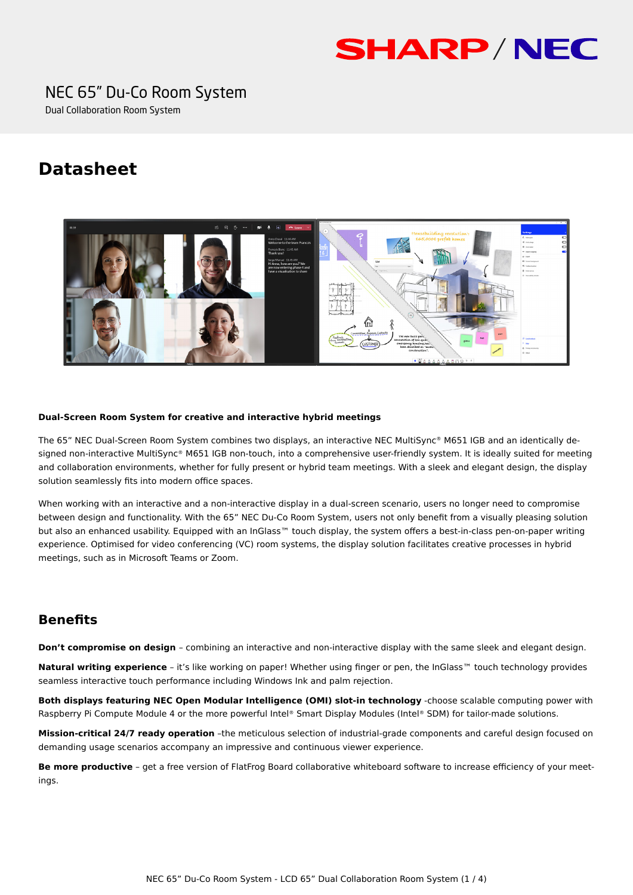# **SHARP/NEC**

### NEC 65" Du-Co Room System

Dual Collaboration Room System

## **Datasheet**



#### **Dual-Screen Room System for creative and interactive hybrid meetings**

The 65" NEC Dual-Screen Room System combines two displays, an interactive NEC MultiSync® M651 IGB and an identically designed non-interactive MultiSync® M651 IGB non-touch, into a comprehensive user-friendly system. It is ideally suited for meeting and collaboration environments, whether for fully present or hybrid team meetings. With a sleek and elegant design, the display solution seamlessly fits into modern office spaces.

When working with an interactive and a non-interactive display in a dual-screen scenario, users no longer need to compromise between design and functionality. With the 65" NEC Du-Co Room System, users not only benefit from a visually pleasing solution but also an enhanced usability. Equipped with an InGlass™ touch display, the system offers a best-in-class pen-on-paper writing experience. Optimised for video conferencing (VC) room systems, the display solution facilitates creative processes in hybrid meetings, such as in Microsoft Teams or Zoom.

#### **Benefits**

**Don't compromise on design** – combining an interactive and non-interactive display with the same sleek and elegant design.

**Natural writing experience** – it's like working on paper! Whether using finger or pen, the InGlass™ touch technology provides seamless interactive touch performance including Windows Ink and palm rejection.

**Both displays featuring NEC Open Modular Intelligence (OMI) slot-in technology** -choose scalable computing power with Raspberry Pi Compute Module 4 or the more powerful Intel® Smart Display Modules (Intel® SDM) for tailor-made solutions.

**Mission-critical 24/7 ready operation** –the meticulous selection of industrial-grade components and careful design focused on demanding usage scenarios accompany an impressive and continuous viewer experience.

**Be more productive** - get a free version of FlatFrog Board collaborative whiteboard software to increase efficiency of your meetings.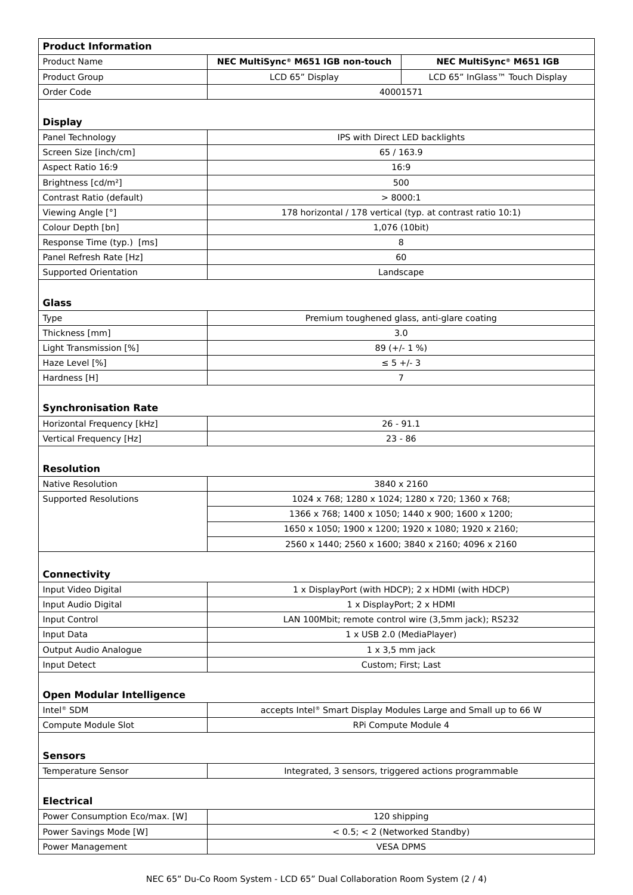| <b>Product Information</b>               |                                                                 |                                |  |
|------------------------------------------|-----------------------------------------------------------------|--------------------------------|--|
| <b>Product Name</b>                      | NEC MultiSync® M651 IGB non-touch                               | NEC MultiSync® M651 IGB        |  |
| Product Group                            | LCD 65" Display                                                 | LCD 65" InGlass™ Touch Display |  |
| Order Code                               | 40001571                                                        |                                |  |
|                                          |                                                                 |                                |  |
| <b>Display</b>                           |                                                                 |                                |  |
| Panel Technology                         | IPS with Direct LED backlights                                  |                                |  |
| Screen Size [inch/cm]                    | 65 / 163.9                                                      |                                |  |
| Aspect Ratio 16:9                        | 16:9                                                            |                                |  |
| Brightness [cd/m <sup>2</sup> ]          | 500                                                             |                                |  |
| Contrast Ratio (default)                 | > 8000:1                                                        |                                |  |
| Viewing Angle [°]                        | 178 horizontal / 178 vertical (typ. at contrast ratio 10:1)     |                                |  |
| Colour Depth [bn]                        | 1,076 (10bit)                                                   |                                |  |
| Response Time (typ.) [ms]                | 8                                                               |                                |  |
| Panel Refresh Rate [Hz]                  | 60                                                              |                                |  |
| <b>Supported Orientation</b>             | Landscape                                                       |                                |  |
|                                          |                                                                 |                                |  |
| <b>Glass</b>                             |                                                                 |                                |  |
| Type                                     | Premium toughened glass, anti-glare coating                     |                                |  |
| Thickness [mm]                           | 3.0                                                             |                                |  |
| Light Transmission [%]<br>Haze Level [%] | 89 $(+/- 1 %)$                                                  |                                |  |
| Hardness [H]                             | $\le$ 5 +/- 3<br>$\overline{7}$                                 |                                |  |
|                                          |                                                                 |                                |  |
| <b>Synchronisation Rate</b>              |                                                                 |                                |  |
| Horizontal Frequency [kHz]               | $26 - 91.1$                                                     |                                |  |
| Vertical Frequency [Hz]                  | $23 - 86$                                                       |                                |  |
|                                          |                                                                 |                                |  |
| <b>Resolution</b>                        |                                                                 |                                |  |
| <b>Native Resolution</b>                 | 3840 x 2160                                                     |                                |  |
| <b>Supported Resolutions</b>             | 1024 x 768; 1280 x 1024; 1280 x 720; 1360 x 768;                |                                |  |
|                                          | 1366 x 768; 1400 x 1050; 1440 x 900; 1600 x 1200;               |                                |  |
|                                          | 1650 x 1050; 1900 x 1200; 1920 x 1080; 1920 x 2160;             |                                |  |
|                                          | 2560 x 1440; 2560 x 1600; 3840 x 2160; 4096 x 2160              |                                |  |
|                                          |                                                                 |                                |  |
| <b>Connectivity</b>                      |                                                                 |                                |  |
| Input Video Digital                      | 1 x DisplayPort (with HDCP); 2 x HDMI (with HDCP)               |                                |  |
| Input Audio Digital                      | 1 x DisplayPort; 2 x HDMI                                       |                                |  |
| Input Control                            | LAN 100Mbit; remote control wire (3,5mm jack); RS232            |                                |  |
| Input Data                               | 1 x USB 2.0 (MediaPlayer)                                       |                                |  |
| Output Audio Analogue                    | $1 \times 3,5$ mm jack                                          |                                |  |
| Input Detect                             | Custom; First; Last                                             |                                |  |
|                                          |                                                                 |                                |  |
| <b>Open Modular Intelligence</b>         |                                                                 |                                |  |
| Intel <sup>®</sup> SDM                   | accepts Intel® Smart Display Modules Large and Small up to 66 W |                                |  |
| Compute Module Slot                      | RPi Compute Module 4                                            |                                |  |
|                                          |                                                                 |                                |  |
| <b>Sensors</b>                           |                                                                 |                                |  |
| Temperature Sensor                       | Integrated, 3 sensors, triggered actions programmable           |                                |  |
|                                          |                                                                 |                                |  |
| <b>Electrical</b>                        |                                                                 |                                |  |
| Power Consumption Eco/max. [W]           | 120 shipping                                                    |                                |  |
| Power Savings Mode [W]                   |                                                                 | < 0.5; < 2 (Networked Standby) |  |
| Power Management                         | <b>VESA DPMS</b>                                                |                                |  |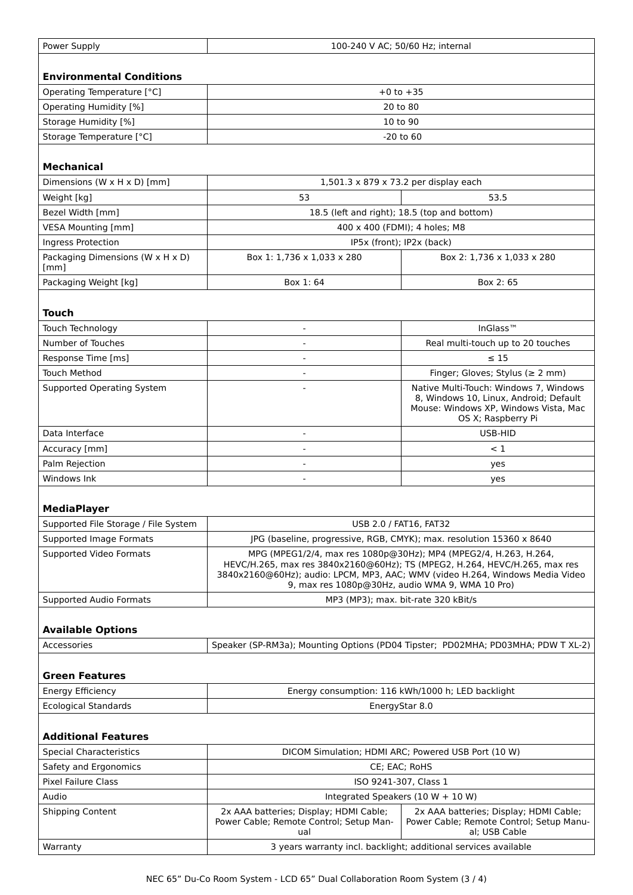| Power Supply                         | 100-240 V AC; 50/60 Hz; internal                                                                                                                                                                                                                                                   |                                                                                                                                                 |  |
|--------------------------------------|------------------------------------------------------------------------------------------------------------------------------------------------------------------------------------------------------------------------------------------------------------------------------------|-------------------------------------------------------------------------------------------------------------------------------------------------|--|
|                                      |                                                                                                                                                                                                                                                                                    |                                                                                                                                                 |  |
| <b>Environmental Conditions</b>      |                                                                                                                                                                                                                                                                                    |                                                                                                                                                 |  |
| Operating Temperature [°C]           | $+0$ to $+35$                                                                                                                                                                                                                                                                      |                                                                                                                                                 |  |
| <b>Operating Humidity [%]</b>        | 20 to 80                                                                                                                                                                                                                                                                           |                                                                                                                                                 |  |
| Storage Humidity [%]                 | 10 to 90                                                                                                                                                                                                                                                                           |                                                                                                                                                 |  |
| Storage Temperature [°C]             | $-20$ to $60$                                                                                                                                                                                                                                                                      |                                                                                                                                                 |  |
|                                      |                                                                                                                                                                                                                                                                                    |                                                                                                                                                 |  |
| <b>Mechanical</b>                    |                                                                                                                                                                                                                                                                                    |                                                                                                                                                 |  |
| Dimensions (W x H x D) [mm]          | 1,501.3 x 879 x 73.2 per display each                                                                                                                                                                                                                                              |                                                                                                                                                 |  |
| Weight [kg]                          | 53                                                                                                                                                                                                                                                                                 | 53.5                                                                                                                                            |  |
| Bezel Width [mm]                     | 18.5 (left and right); 18.5 (top and bottom)                                                                                                                                                                                                                                       |                                                                                                                                                 |  |
| <b>VESA Mounting [mm]</b>            | 400 x 400 (FDMI); 4 holes; M8                                                                                                                                                                                                                                                      |                                                                                                                                                 |  |
| Ingress Protection                   | IP5x (front); IP2x (back)                                                                                                                                                                                                                                                          |                                                                                                                                                 |  |
| Packaging Dimensions (W x H x D)     | Box 1: 1,736 x 1,033 x 280                                                                                                                                                                                                                                                         | Box 2: 1,736 x 1,033 x 280                                                                                                                      |  |
| [mm]                                 |                                                                                                                                                                                                                                                                                    |                                                                                                                                                 |  |
| Packaging Weight [kg]                | Box 1:64                                                                                                                                                                                                                                                                           | Box 2:65                                                                                                                                        |  |
|                                      |                                                                                                                                                                                                                                                                                    |                                                                                                                                                 |  |
| <b>Touch</b>                         |                                                                                                                                                                                                                                                                                    |                                                                                                                                                 |  |
| Touch Technology                     |                                                                                                                                                                                                                                                                                    | InGlass <sup>™</sup>                                                                                                                            |  |
| Number of Touches                    |                                                                                                                                                                                                                                                                                    | Real multi-touch up to 20 touches                                                                                                               |  |
| Response Time [ms]                   |                                                                                                                                                                                                                                                                                    | $\leq 15$                                                                                                                                       |  |
| <b>Touch Method</b>                  | $\overline{\phantom{a}}$                                                                                                                                                                                                                                                           | Finger; Gloves; Stylus ( $\geq 2$ mm)                                                                                                           |  |
| Supported Operating System           |                                                                                                                                                                                                                                                                                    | Native Multi-Touch: Windows 7, Windows<br>8, Windows 10, Linux, Android; Default<br>Mouse: Windows XP, Windows Vista, Mac<br>OS X; Raspberry Pi |  |
| Data Interface                       |                                                                                                                                                                                                                                                                                    | USB-HID                                                                                                                                         |  |
| Accuracy [mm]                        | $\overline{\phantom{a}}$                                                                                                                                                                                                                                                           | $\leq 1$                                                                                                                                        |  |
| Palm Rejection                       |                                                                                                                                                                                                                                                                                    | yes                                                                                                                                             |  |
| Windows Ink                          |                                                                                                                                                                                                                                                                                    | yes                                                                                                                                             |  |
|                                      |                                                                                                                                                                                                                                                                                    |                                                                                                                                                 |  |
| <b>MediaPlayer</b>                   |                                                                                                                                                                                                                                                                                    |                                                                                                                                                 |  |
| Supported File Storage / File System | USB 2.0 / FAT16, FAT32                                                                                                                                                                                                                                                             |                                                                                                                                                 |  |
| Supported Image Formats              |                                                                                                                                                                                                                                                                                    | JPG (baseline, progressive, RGB, CMYK); max. resolution 15360 x 8640                                                                            |  |
| Supported Video Formats              | MPG (MPEG1/2/4, max res 1080p@30Hz); MP4 (MPEG2/4, H.263, H.264,<br>HEVC/H.265, max res 3840x2160@60Hz); TS (MPEG2, H.264, HEVC/H.265, max res<br>3840x2160@60Hz); audio: LPCM, MP3, AAC; WMV (video H.264, Windows Media Video<br>9, max res 1080p@30Hz, audio WMA 9, WMA 10 Pro) |                                                                                                                                                 |  |
| <b>Supported Audio Formats</b>       |                                                                                                                                                                                                                                                                                    | MP3 (MP3); max. bit-rate 320 kBit/s                                                                                                             |  |
|                                      |                                                                                                                                                                                                                                                                                    |                                                                                                                                                 |  |
| <b>Available Options</b>             |                                                                                                                                                                                                                                                                                    |                                                                                                                                                 |  |
| Accessories                          |                                                                                                                                                                                                                                                                                    | Speaker (SP-RM3a); Mounting Options (PD04 Tipster; PD02MHA; PD03MHA; PDW T XL-2)                                                                |  |
| <b>Green Features</b>                |                                                                                                                                                                                                                                                                                    |                                                                                                                                                 |  |
| <b>Energy Efficiency</b>             | Energy consumption: 116 kWh/1000 h; LED backlight                                                                                                                                                                                                                                  |                                                                                                                                                 |  |
| <b>Ecological Standards</b>          | EnergyStar 8.0                                                                                                                                                                                                                                                                     |                                                                                                                                                 |  |
| <b>Additional Features</b>           |                                                                                                                                                                                                                                                                                    |                                                                                                                                                 |  |
| <b>Special Characteristics</b>       |                                                                                                                                                                                                                                                                                    |                                                                                                                                                 |  |
|                                      | DICOM Simulation; HDMI ARC; Powered USB Port (10 W)                                                                                                                                                                                                                                |                                                                                                                                                 |  |
| Safety and Ergonomics                | CE; EAC; RoHS                                                                                                                                                                                                                                                                      |                                                                                                                                                 |  |
| <b>Pixel Failure Class</b>           | ISO 9241-307, Class 1                                                                                                                                                                                                                                                              |                                                                                                                                                 |  |
| Audio                                |                                                                                                                                                                                                                                                                                    | Integrated Speakers (10 W + 10 W)                                                                                                               |  |
| <b>Shipping Content</b>              | 2x AAA batteries; Display; HDMI Cable;<br>Power Cable; Remote Control; Setup Man-<br>ual                                                                                                                                                                                           | 2x AAA batteries; Display; HDMI Cable;<br>Power Cable; Remote Control; Setup Manu-<br>al; USB Cable                                             |  |
| Warranty                             |                                                                                                                                                                                                                                                                                    | 3 years warranty incl. backlight; additional services available                                                                                 |  |